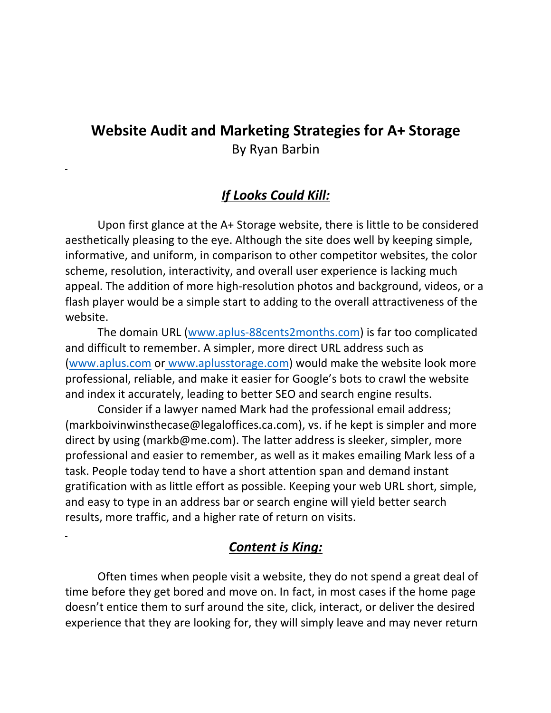## **Website Audit and Marketing Strategies for A+ Storage** By Ryan Barbin

## *If Looks Could Kill:*

 Upon first glance at the A+ Storage website, there is little to be considered aesthetically pleasing to the eye. Although the site does well by keeping simple, informative, and uniform, in comparison to other competitor websites, the color scheme, resolution, interactivity, and overall user experience is lacking much appeal. The addition of more high-resolution photos and background, videos, or a flash player would be a simple start to adding to the overall attractiveness of the website.

 The domain URL (www.aplus-88cents2months.com) is far too complicated and difficult to remember. A simpler, more direct URL address such as (www.aplus.com or www.aplusstorage.com) would make the website look more professional, reliable, and make it easier for Google's bots to crawl the website and index it accurately, leading to better SEO and search engine results.

 Consider if a lawyer named Mark had the professional email address; (markboivinwinsthecase@legaloffices.ca.com), vs. if he kept is simpler and more direct by using (markb@me.com). The latter address is sleeker, simpler, more professional and easier to remember, as well as it makes emailing Mark less of a task. People today tend to have a short attention span and demand instant gratification with as little effort as possible. Keeping your web URL short, simple, and easy to type in an address bar or search engine will yield better search results, more traffic, and a higher rate of return on visits.

### *Content is King:*

 Often times when people visit a website, they do not spend a great deal of time before they get bored and move on. In fact, in most cases if the home page doesn't entice them to surf around the site, click, interact, or deliver the desired experience that they are looking for, they will simply leave and may never return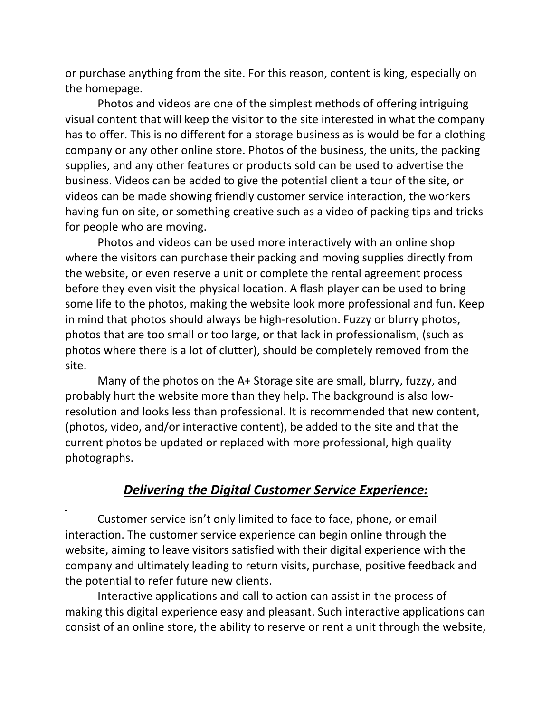or purchase anything from the site. For this reason, content is king, especially on the homepage.

 Photos and videos are one of the simplest methods of offering intriguing visual content that will keep the visitor to the site interested in what the company has to offer. This is no different for a storage business as is would be for a clothing company or any other online store. Photos of the business, the units, the packing supplies, and any other features or products sold can be used to advertise the business. Videos can be added to give the potential client a tour of the site, or videos can be made showing friendly customer service interaction, the workers having fun on site, or something creative such as a video of packing tips and tricks for people who are moving.

 Photos and videos can be used more interactively with an online shop where the visitors can purchase their packing and moving supplies directly from the website, or even reserve a unit or complete the rental agreement process before they even visit the physical location. A flash player can be used to bring some life to the photos, making the website look more professional and fun. Keep in mind that photos should always be high-resolution. Fuzzy or blurry photos, photos that are too small or too large, or that lack in professionalism, (such as photos where there is a lot of clutter), should be completely removed from the site.

 Many of the photos on the A+ Storage site are small, blurry, fuzzy, and probably hurt the website more than they help. The background is also lowresolution and looks less than professional. It is recommended that new content, (photos, video, and/or interactive content), be added to the site and that the current photos be updated or replaced with more professional, high quality photographs.

#### *Delivering the Digital Customer Service Experience:*

 Customer service isn't only limited to face to face, phone, or email interaction. The customer service experience can begin online through the website, aiming to leave visitors satisfied with their digital experience with the company and ultimately leading to return visits, purchase, positive feedback and the potential to refer future new clients.

 Interactive applications and call to action can assist in the process of making this digital experience easy and pleasant. Such interactive applications can consist of an online store, the ability to reserve or rent a unit through the website,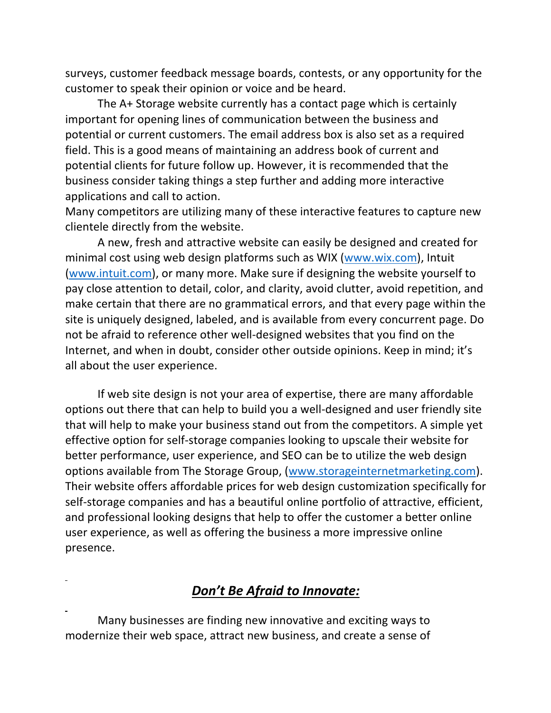surveys, customer feedback message boards, contests, or any opportunity for the customer to speak their opinion or voice and be heard.

 The A+ Storage website currently has a contact page which is certainly important for opening lines of communication between the business and potential or current customers. The email address box is also set as a required field. This is a good means of maintaining an address book of current and potential clients for future follow up. However, it is recommended that the business consider taking things a step further and adding more interactive applications and call to action.

Many competitors are utilizing many of these interactive features to capture new clientele directly from the website.

 A new, fresh and attractive website can easily be designed and created for minimal cost using web design platforms such as WIX (www.wix.com), Intuit (www.intuit.com), or many more. Make sure if designing the website yourself to pay close attention to detail, color, and clarity, avoid clutter, avoid repetition, and make certain that there are no grammatical errors, and that every page within the site is uniquely designed, labeled, and is available from every concurrent page. Do not be afraid to reference other well-designed websites that you find on the Internet, and when in doubt, consider other outside opinions. Keep in mind; it's all about the user experience.

 If web site design is not your area of expertise, there are many affordable options out there that can help to build you a well-designed and user friendly site that will help to make your business stand out from the competitors. A simple yet effective option for self-storage companies looking to upscale their website for better performance, user experience, and SEO can be to utilize the web design options available from The Storage Group, (www.storageinternetmarketing.com). Their website offers affordable prices for web design customization specifically for self-storage companies and has a beautiful online portfolio of attractive, efficient, and professional looking designs that help to offer the customer a better online user experience, as well as offering the business a more impressive online presence.

### *Don't Be Afraid to Innovate:*

 Many businesses are finding new innovative and exciting ways to modernize their web space, attract new business, and create a sense of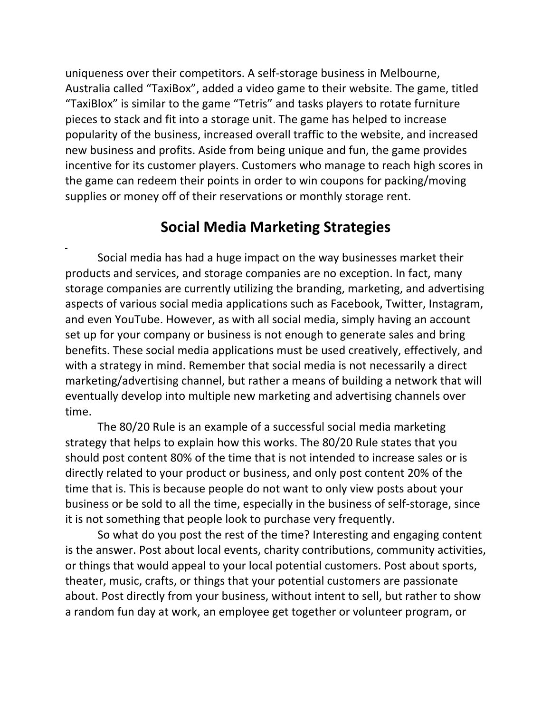uniqueness over their competitors. A self-storage business in Melbourne, Australia called "TaxiBox", added a video game to their website. The game, titled "TaxiBlox" is similar to the game "Tetris" and tasks players to rotate furniture pieces to stack and fit into a storage unit. The game has helped to increase popularity of the business, increased overall traffic to the website, and increased new business and profits. Aside from being unique and fun, the game provides incentive for its customer players. Customers who manage to reach high scores in the game can redeem their points in order to win coupons for packing/moving supplies or money off of their reservations or monthly storage rent.

## **Social Media Marketing Strategies**

 Social media has had a huge impact on the way businesses market their products and services, and storage companies are no exception. In fact, many storage companies are currently utilizing the branding, marketing, and advertising aspects of various social media applications such as Facebook, Twitter, Instagram, and even YouTube. However, as with all social media, simply having an account set up for your company or business is not enough to generate sales and bring benefits. These social media applications must be used creatively, effectively, and with a strategy in mind. Remember that social media is not necessarily a direct marketing/advertising channel, but rather a means of building a network that will eventually develop into multiple new marketing and advertising channels over time.

 The 80/20 Rule is an example of a successful social media marketing strategy that helps to explain how this works. The 80/20 Rule states that you should post content 80% of the time that is not intended to increase sales or is directly related to your product or business, and only post content 20% of the time that is. This is because people do not want to only view posts about your business or be sold to all the time, especially in the business of self-storage, since it is not something that people look to purchase very frequently.

 So what do you post the rest of the time? Interesting and engaging content is the answer. Post about local events, charity contributions, community activities, or things that would appeal to your local potential customers. Post about sports, theater, music, crafts, or things that your potential customers are passionate about. Post directly from your business, without intent to sell, but rather to show a random fun day at work, an employee get together or volunteer program, or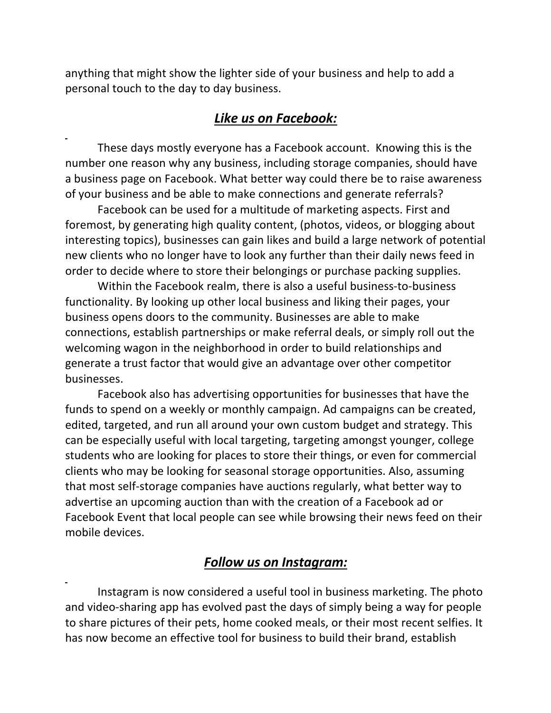anything that might show the lighter side of your business and help to add a personal touch to the day to day business.

### *Like us on Facebook:*

 These days mostly everyone has a Facebook account. Knowing this is the number one reason why any business, including storage companies, should have a business page on Facebook. What better way could there be to raise awareness of your business and be able to make connections and generate referrals?

 Facebook can be used for a multitude of marketing aspects. First and foremost, by generating high quality content, (photos, videos, or blogging about interesting topics), businesses can gain likes and build a large network of potential new clients who no longer have to look any further than their daily news feed in order to decide where to store their belongings or purchase packing supplies.

 Within the Facebook realm, there is also a useful business-to-business functionality. By looking up other local business and liking their pages, your business opens doors to the community. Businesses are able to make connections, establish partnerships or make referral deals, or simply roll out the welcoming wagon in the neighborhood in order to build relationships and generate a trust factor that would give an advantage over other competitor businesses.

 Facebook also has advertising opportunities for businesses that have the funds to spend on a weekly or monthly campaign. Ad campaigns can be created, edited, targeted, and run all around your own custom budget and strategy. This can be especially useful with local targeting, targeting amongst younger, college students who are looking for places to store their things, or even for commercial clients who may be looking for seasonal storage opportunities. Also, assuming that most self-storage companies have auctions regularly, what better way to advertise an upcoming auction than with the creation of a Facebook ad or Facebook Event that local people can see while browsing their news feed on their mobile devices.

#### *Follow us on Instagram:*

 Instagram is now considered a useful tool in business marketing. The photo and video-sharing app has evolved past the days of simply being a way for people to share pictures of their pets, home cooked meals, or their most recent selfies. It has now become an effective tool for business to build their brand, establish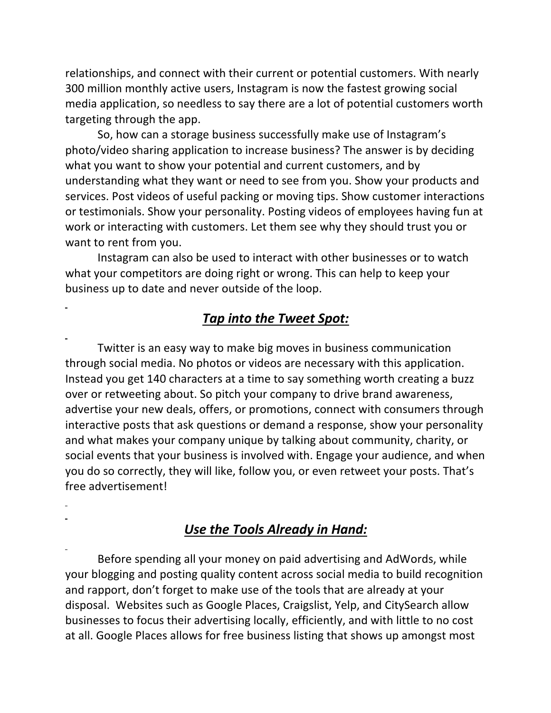relationships, and connect with their current or potential customers. With nearly 300 million monthly active users, Instagram is now the fastest growing social media application, so needless to say there are a lot of potential customers worth targeting through the app.

 So, how can a storage business successfully make use of Instagram's photo/video sharing application to increase business? The answer is by deciding what you want to show your potential and current customers, and by understanding what they want or need to see from you. Show your products and services. Post videos of useful packing or moving tips. Show customer interactions or testimonials. Show your personality. Posting videos of employees having fun at work or interacting with customers. Let them see why they should trust you or want to rent from you.

 Instagram can also be used to interact with other businesses or to watch what your competitors are doing right or wrong. This can help to keep your business up to date and never outside of the loop.

### *Tap into the Tweet Spot:*

 Twitter is an easy way to make big moves in business communication through social media. No photos or videos are necessary with this application. Instead you get 140 characters at a time to say something worth creating a buzz over or retweeting about. So pitch your company to drive brand awareness, advertise your new deals, offers, or promotions, connect with consumers through interactive posts that ask questions or demand a response, show your personality and what makes your company unique by talking about community, charity, or social events that your business is involved with. Engage your audience, and when you do so correctly, they will like, follow you, or even retweet your posts. That's free advertisement!

### *Use the Tools Already in Hand:*

 Before spending all your money on paid advertising and AdWords, while your blogging and posting quality content across social media to build recognition and rapport, don't forget to make use of the tools that are already at your disposal. Websites such as Google Places, Craigslist, Yelp, and CitySearch allow businesses to focus their advertising locally, efficiently, and with little to no cost at all. Google Places allows for free business listing that shows up amongst most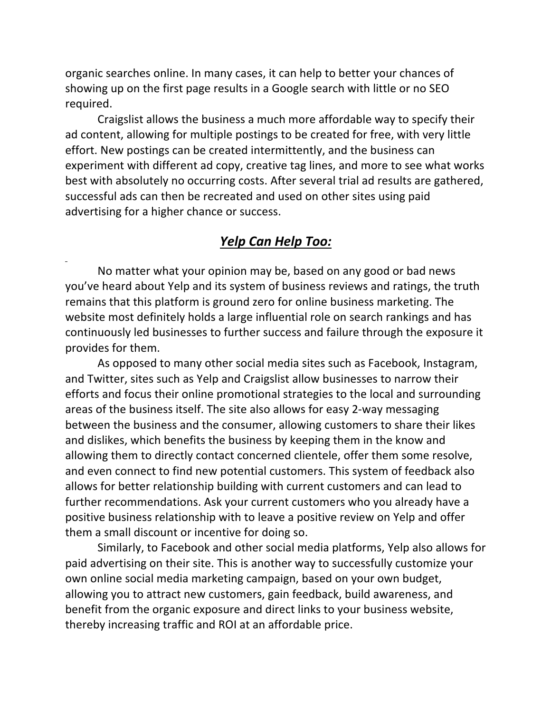organic searches online. In many cases, it can help to better your chances of showing up on the first page results in a Google search with little or no SEO required.

 Craigslist allows the business a much more affordable way to specify their ad content, allowing for multiple postings to be created for free, with very little effort. New postings can be created intermittently, and the business can experiment with different ad copy, creative tag lines, and more to see what works best with absolutely no occurring costs. After several trial ad results are gathered, successful ads can then be recreated and used on other sites using paid advertising for a higher chance or success.

### *Yelp Can Help Too:*

 No matter what your opinion may be, based on any good or bad news you've heard about Yelp and its system of business reviews and ratings, the truth remains that this platform is ground zero for online business marketing. The website most definitely holds a large influential role on search rankings and has continuously led businesses to further success and failure through the exposure it provides for them.

 As opposed to many other social media sites such as Facebook, Instagram, and Twitter, sites such as Yelp and Craigslist allow businesses to narrow their efforts and focus their online promotional strategies to the local and surrounding areas of the business itself. The site also allows for easy 2-way messaging between the business and the consumer, allowing customers to share their likes and dislikes, which benefits the business by keeping them in the know and allowing them to directly contact concerned clientele, offer them some resolve, and even connect to find new potential customers. This system of feedback also allows for better relationship building with current customers and can lead to further recommendations. Ask your current customers who you already have a positive business relationship with to leave a positive review on Yelp and offer them a small discount or incentive for doing so.

 Similarly, to Facebook and other social media platforms, Yelp also allows for paid advertising on their site. This is another way to successfully customize your own online social media marketing campaign, based on your own budget, allowing you to attract new customers, gain feedback, build awareness, and benefit from the organic exposure and direct links to your business website, thereby increasing traffic and ROI at an affordable price.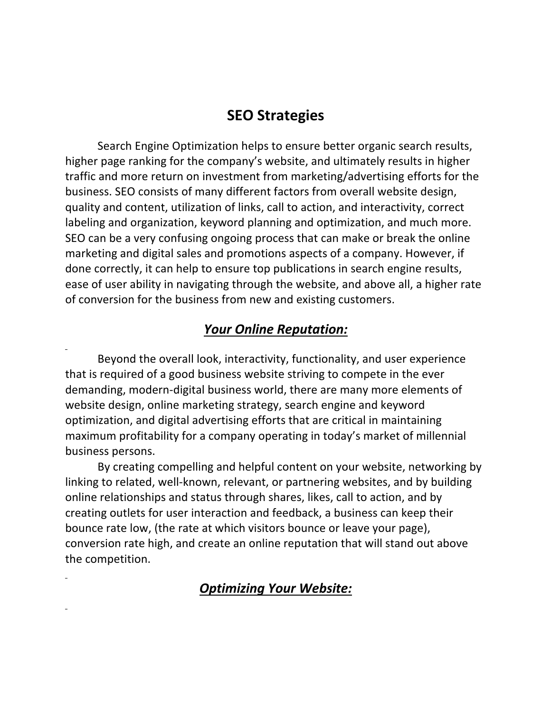## **SEO Strategies**

 Search Engine Optimization helps to ensure better organic search results, higher page ranking for the company's website, and ultimately results in higher traffic and more return on investment from marketing/advertising efforts for the business. SEO consists of many different factors from overall website design, quality and content, utilization of links, call to action, and interactivity, correct labeling and organization, keyword planning and optimization, and much more. SEO can be a very confusing ongoing process that can make or break the online marketing and digital sales and promotions aspects of a company. However, if done correctly, it can help to ensure top publications in search engine results, ease of user ability in navigating through the website, and above all, a higher rate of conversion for the business from new and existing customers.

### *Your Online Reputation:*

 Beyond the overall look, interactivity, functionality, and user experience that is required of a good business website striving to compete in the ever demanding, modern-digital business world, there are many more elements of website design, online marketing strategy, search engine and keyword optimization, and digital advertising efforts that are critical in maintaining maximum profitability for a company operating in today's market of millennial business persons.

 By creating compelling and helpful content on your website, networking by linking to related, well-known, relevant, or partnering websites, and by building online relationships and status through shares, likes, call to action, and by creating outlets for user interaction and feedback, a business can keep their bounce rate low, (the rate at which visitors bounce or leave your page), conversion rate high, and create an online reputation that will stand out above the competition.

## *Optimizing Your Website:*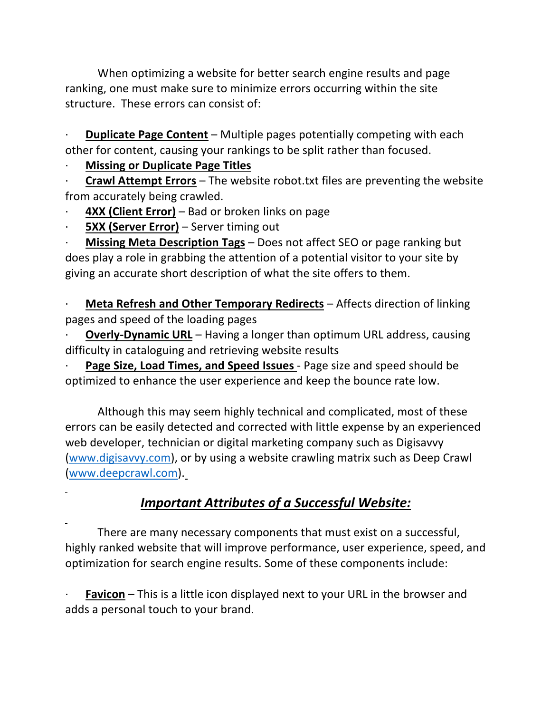When optimizing a website for better search engine results and page ranking, one must make sure to minimize errors occurring within the site structure. These errors can consist of:

**Duplicate Page Content** – Multiple pages potentially competing with each other for content, causing your rankings to be split rather than focused.

### · **Missing or Duplicate Page Titles**

· **Crawl Attempt Errors** – The website robot.txt files are preventing the website from accurately being crawled.

- **4XX (Client Error)** Bad or broken links on page
- **5XX (Server Error)** Server timing out

**Missing Meta Description Tags** – Does not affect SEO or page ranking but does play a role in grabbing the attention of a potential visitor to your site by giving an accurate short description of what the site offers to them.

**Meta Refresh and Other Temporary Redirects** – Affects direction of linking pages and speed of the loading pages

**Overly-Dynamic URL** – Having a longer than optimum URL address, causing difficulty in cataloguing and retrieving website results

Page Size, Load Times, and Speed Issues - Page size and speed should be optimized to enhance the user experience and keep the bounce rate low.

 Although this may seem highly technical and complicated, most of these errors can be easily detected and corrected with little expense by an experienced web developer, technician or digital marketing company such as Digisavvy (www.digisavvy.com), or by using a website crawling matrix such as Deep Crawl (www.deepcrawl.com).

# *Important Attributes of a Successful Website:*

 There are many necessary components that must exist on a successful, highly ranked website that will improve performance, user experience, speed, and optimization for search engine results. Some of these components include:

**Favicon** – This is a little icon displayed next to your URL in the browser and adds a personal touch to your brand.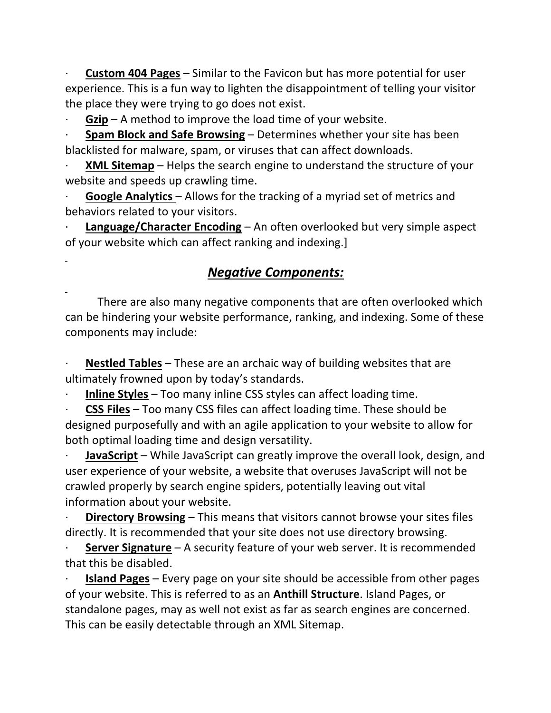· **Custom 404 Pages** – Similar to the Favicon but has more potential for user experience. This is a fun way to lighten the disappointment of telling your visitor the place they were trying to go does not exist.

**Gzip** – A method to improve the load time of your website.

· **Spam Block and Safe Browsing** – Determines whether your site has been blacklisted for malware, spam, or viruses that can affect downloads.

**XML Sitemap** – Helps the search engine to understand the structure of your website and speeds up crawling time.

**Google Analytics** – Allows for the tracking of a myriad set of metrics and behaviors related to your visitors.

**Language/Character Encoding** – An often overlooked but very simple aspect of your website which can affect ranking and indexing.]

## *Negative Components:*

 There are also many negative components that are often overlooked which can be hindering your website performance, ranking, and indexing. Some of these components may include:

**Nestled Tables** – These are an archaic way of building websites that are ultimately frowned upon by today's standards.

· **Inline Styles** – Too many inline CSS styles can affect loading time.

· **CSS Files** – Too many CSS files can affect loading time. These should be designed purposefully and with an agile application to your website to allow for both optimal loading time and design versatility.

**JavaScript** – While JavaScript can greatly improve the overall look, design, and user experience of your website, a website that overuses JavaScript will not be crawled properly by search engine spiders, potentially leaving out vital information about your website.

**Directory Browsing** – This means that visitors cannot browse your sites files directly. It is recommended that your site does not use directory browsing.

**Server Signature** - A security feature of your web server. It is recommended that this be disabled.

· **Island Pages** – Every page on your site should be accessible from other pages of your website. This is referred to as an **Anthill Structure**. Island Pages, or standalone pages, may as well not exist as far as search engines are concerned. This can be easily detectable through an XML Sitemap.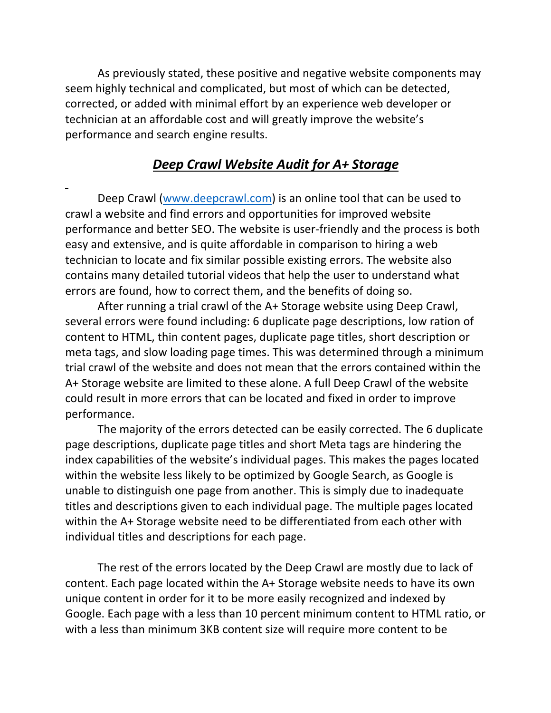As previously stated, these positive and negative website components may seem highly technical and complicated, but most of which can be detected, corrected, or added with minimal effort by an experience web developer or technician at an affordable cost and will greatly improve the website's performance and search engine results.

### *Deep Crawl Website Audit for A+ Storage*

 Deep Crawl (www.deepcrawl.com) is an online tool that can be used to crawl a website and find errors and opportunities for improved website performance and better SEO. The website is user-friendly and the process is both easy and extensive, and is quite affordable in comparison to hiring a web technician to locate and fix similar possible existing errors. The website also contains many detailed tutorial videos that help the user to understand what errors are found, how to correct them, and the benefits of doing so.

 After running a trial crawl of the A+ Storage website using Deep Crawl, several errors were found including: 6 duplicate page descriptions, low ration of content to HTML, thin content pages, duplicate page titles, short description or meta tags, and slow loading page times. This was determined through a minimum trial crawl of the website and does not mean that the errors contained within the A+ Storage website are limited to these alone. A full Deep Crawl of the website could result in more errors that can be located and fixed in order to improve performance.

 The majority of the errors detected can be easily corrected. The 6 duplicate page descriptions, duplicate page titles and short Meta tags are hindering the index capabilities of the website's individual pages. This makes the pages located within the website less likely to be optimized by Google Search, as Google is unable to distinguish one page from another. This is simply due to inadequate titles and descriptions given to each individual page. The multiple pages located within the A+ Storage website need to be differentiated from each other with individual titles and descriptions for each page.

 The rest of the errors located by the Deep Crawl are mostly due to lack of content. Each page located within the A+ Storage website needs to have its own unique content in order for it to be more easily recognized and indexed by Google. Each page with a less than 10 percent minimum content to HTML ratio, or with a less than minimum 3KB content size will require more content to be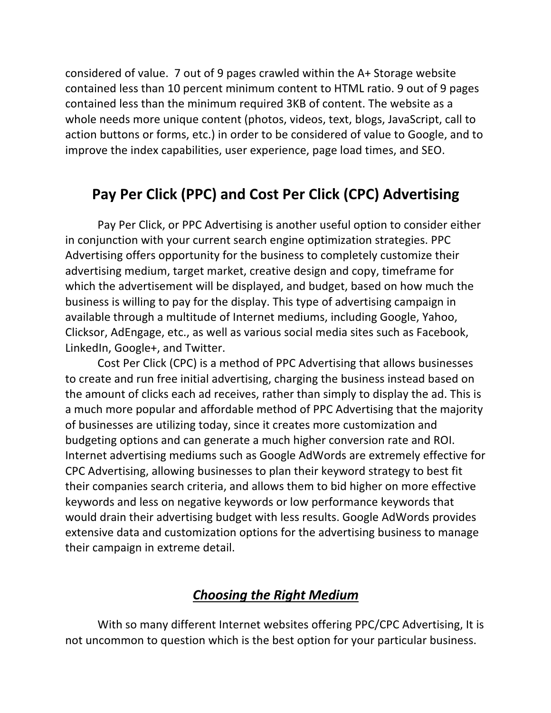considered of value. 7 out of 9 pages crawled within the A+ Storage website contained less than 10 percent minimum content to HTML ratio. 9 out of 9 pages contained less than the minimum required 3KB of content. The website as a whole needs more unique content (photos, videos, text, blogs, JavaScript, call to action buttons or forms, etc.) in order to be considered of value to Google, and to improve the index capabilities, user experience, page load times, and SEO.

# **Pay Per Click (PPC) and Cost Per Click (CPC) Advertising**

 Pay Per Click, or PPC Advertising is another useful option to consider either in conjunction with your current search engine optimization strategies. PPC Advertising offers opportunity for the business to completely customize their advertising medium, target market, creative design and copy, timeframe for which the advertisement will be displayed, and budget, based on how much the business is willing to pay for the display. This type of advertising campaign in available through a multitude of Internet mediums, including Google, Yahoo, Clicksor, AdEngage, etc., as well as various social media sites such as Facebook, LinkedIn, Google+, and Twitter.

 Cost Per Click (CPC) is a method of PPC Advertising that allows businesses to create and run free initial advertising, charging the business instead based on the amount of clicks each ad receives, rather than simply to display the ad. This is a much more popular and affordable method of PPC Advertising that the majority of businesses are utilizing today, since it creates more customization and budgeting options and can generate a much higher conversion rate and ROI. Internet advertising mediums such as Google AdWords are extremely effective for CPC Advertising, allowing businesses to plan their keyword strategy to best fit their companies search criteria, and allows them to bid higher on more effective keywords and less on negative keywords or low performance keywords that would drain their advertising budget with less results. Google AdWords provides extensive data and customization options for the advertising business to manage their campaign in extreme detail.

## *Choosing the Right Medium*

 With so many different Internet websites offering PPC/CPC Advertising, It is not uncommon to question which is the best option for your particular business.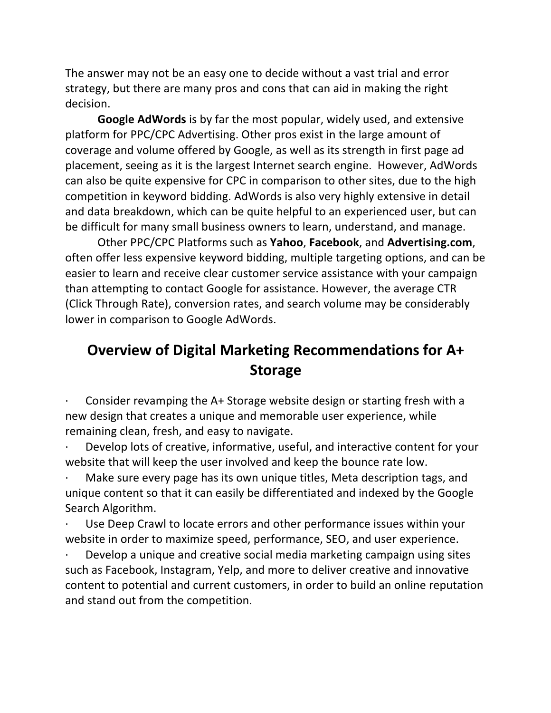The answer may not be an easy one to decide without a vast trial and error strategy, but there are many pros and cons that can aid in making the right decision.

 **Google AdWords** is by far the most popular, widely used, and extensive platform for PPC/CPC Advertising. Other pros exist in the large amount of coverage and volume offered by Google, as well as its strength in first page ad placement, seeing as it is the largest Internet search engine. However, AdWords can also be quite expensive for CPC in comparison to other sites, due to the high competition in keyword bidding. AdWords is also very highly extensive in detail and data breakdown, which can be quite helpful to an experienced user, but can be difficult for many small business owners to learn, understand, and manage.

 Other PPC/CPC Platforms such as **Yahoo**, **Facebook**, and **Advertising.com**, often offer less expensive keyword bidding, multiple targeting options, and can be easier to learn and receive clear customer service assistance with your campaign than attempting to contact Google for assistance. However, the average CTR (Click Through Rate), conversion rates, and search volume may be considerably lower in comparison to Google AdWords.

# **Overview of Digital Marketing Recommendations for A+ Storage**

Consider revamping the A+ Storage website design or starting fresh with a new design that creates a unique and memorable user experience, while remaining clean, fresh, and easy to navigate.

Develop lots of creative, informative, useful, and interactive content for your website that will keep the user involved and keep the bounce rate low.

Make sure every page has its own unique titles, Meta description tags, and unique content so that it can easily be differentiated and indexed by the Google Search Algorithm.

Use Deep Crawl to locate errors and other performance issues within your website in order to maximize speed, performance, SEO, and user experience.

Develop a unique and creative social media marketing campaign using sites such as Facebook, Instagram, Yelp, and more to deliver creative and innovative content to potential and current customers, in order to build an online reputation and stand out from the competition.